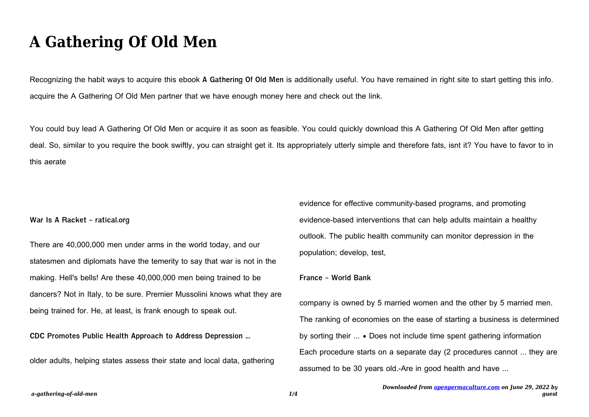# **A Gathering Of Old Men**

Recognizing the habit ways to acquire this ebook **A Gathering Of Old Men** is additionally useful. You have remained in right site to start getting this info. acquire the A Gathering Of Old Men partner that we have enough money here and check out the link.

You could buy lead A Gathering Of Old Men or acquire it as soon as feasible. You could quickly download this A Gathering Of Old Men after getting deal. So, similar to you require the book swiftly, you can straight get it. Its appropriately utterly simple and therefore fats, isnt it? You have to favor to in this aerate

**War Is A Racket - ratical.org**

There are 40,000,000 men under arms in the world today, and our statesmen and diplomats have the temerity to say that war is not in the making. Hell's bells! Are these 40,000,000 men being trained to be dancers? Not in Italy, to be sure. Premier Mussolini knows what they are being trained for. He, at least, is frank enough to speak out.

**CDC Promotes Public Health Approach to Address Depression …**

older adults, helping states assess their state and local data, gathering

evidence for effective community-based programs, and promoting evidence-based interventions that can help adults maintain a healthy outlook. The public health community can monitor depression in the population; develop, test,

#### **France - World Bank**

company is owned by 5 married women and the other by 5 married men. The ranking of economies on the ease of starting a business is determined by sorting their ... • Does not include time spent gathering information Each procedure starts on a separate day (2 procedures cannot ... they are assumed to be 30 years old.-Are in good health and have ...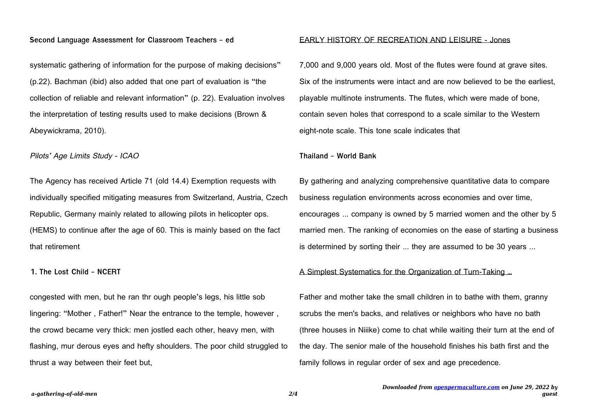## **Second Language Assessment for Classroom Teachers - ed**

systematic gathering of information for the purpose of making decisions" (p.22). Bachman (ibid) also added that one part of evaluation is "the collection of reliable and relevant information" (p. 22). Evaluation involves the interpretation of testing results used to make decisions (Brown & Abeywickrama, 2010).

Pilots' Age Limits Study - ICAO

The Agency has received Article 71 (old 14.4) Exemption requests with individually specified mitigating measures from Switzerland, Austria, Czech Republic, Germany mainly related to allowing pilots in helicopter ops. (HEMS) to continue after the age of 60. This is mainly based on the fact that retirement

**1. The Lost Child - NCERT**

congested with men, but he ran thr ough people's legs, his little sob lingering: "Mother , Father!" Near the entrance to the temple, however , the crowd became very thick: men jostled each other, heavy men, with flashing, mur derous eyes and hefty shoulders. The poor child struggled to thrust a way between their feet but,

## EARLY HISTORY OF RECREATION AND LEISURE - Jones

7,000 and 9,000 years old. Most of the flutes were found at grave sites. Six of the instruments were intact and are now believed to be the earliest, playable multinote instruments. The flutes, which were made of bone, contain seven holes that correspond to a scale similar to the Western eight-note scale. This tone scale indicates that

**Thailand - World Bank**

By gathering and analyzing comprehensive quantitative data to compare business regulation environments across economies and over time, encourages ... company is owned by 5 married women and the other by 5 married men. The ranking of economies on the ease of starting a business is determined by sorting their ... they are assumed to be 30 years ...

## A Simplest Systematics for the Organization of Turn-Taking …

Father and mother take the small children in to bathe with them, granny scrubs the men's backs, and relatives or neighbors who have no bath (three houses in Niiike) come to chat while waiting their turn at the end of the day. The senior male of the household finishes his bath first and the family follows in regular order of sex and age precedence.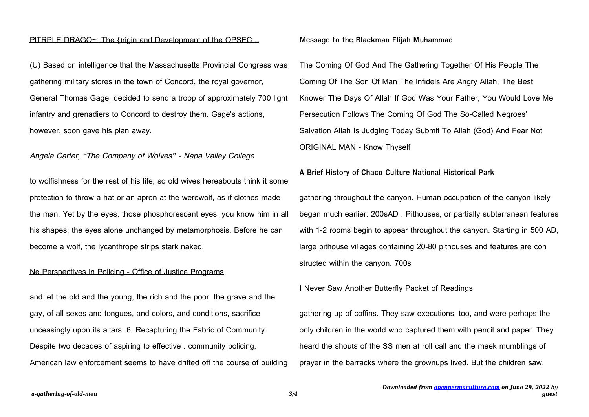#### PITRPLE DRAGO~: The {)rigin and Development of the OPSEC ...

(U) Based on intelligence that the Massachusetts Provincial Congress was gathering military stores in the town of Concord, the royal governor, General Thomas Gage, decided to send a troop of approximately 700 light infantry and grenadiers to Concord to destroy them. Gage's actions, however, soon gave his plan away.

#### Angela Carter, "The Company of Wolves" - Napa Valley College

to wolfishness for the rest of his life, so old wives hereabouts think it some protection to throw a hat or an apron at the werewolf, as if clothes made the man. Yet by the eyes, those phosphorescent eyes, you know him in all his shapes; the eyes alone unchanged by metamorphosis. Before he can become a wolf, the lycanthrope strips stark naked.

#### Ne Perspectives in Policing - Office of Justice Programs

and let the old and the young, the rich and the poor, the grave and the gay, of all sexes and tongues, and colors, and conditions, sacrifice unceasingly upon its altars. 6. Recapturing the Fabric of Community. Despite two decades of aspiring to effective . community policing, American law enforcement seems to have drifted off the course of building

#### **Message to the Blackman Elijah Muhammad**

The Coming Of God And The Gathering Together Of His People The Coming Of The Son Of Man The Infidels Are Angry Allah, The Best Knower The Days Of Allah If God Was Your Father, You Would Love Me Persecution Follows The Coming Of God The So-Called Negroes' Salvation Allah Is Judging Today Submit To Allah (God) And Fear Not ORIGINAL MAN - Know Thyself

## **A Brief History of Chaco Culture National Historical Park**

gathering throughout the canyon. Human occupation of the canyon likely began much earlier. 200sAD . Pithouses, or partially subterranean features with 1-2 rooms begin to appear throughout the canyon. Starting in 500 AD, large pithouse villages containing 20-80 pithouses and features are con structed within the canyon. 700s

#### I Never Saw Another Butterfly Packet of Readings

gathering up of coffins. They saw executions, too, and were perhaps the only children in the world who captured them with pencil and paper. They heard the shouts of the SS men at roll call and the meek mumblings of prayer in the barracks where the grownups lived. But the children saw,